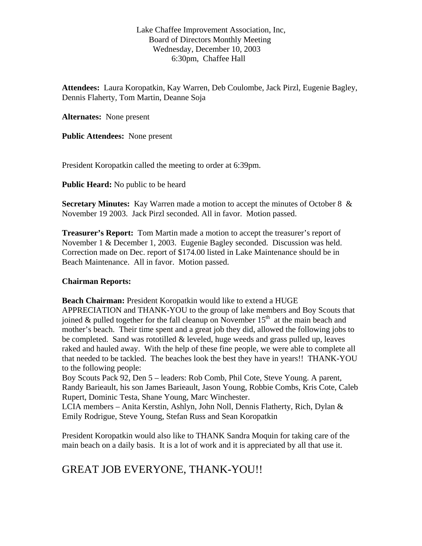Lake Chaffee Improvement Association, Inc, Board of Directors Monthly Meeting Wednesday, December 10, 2003 6:30pm, Chaffee Hall

**Attendees:** Laura Koropatkin, Kay Warren, Deb Coulombe, Jack Pirzl, Eugenie Bagley, Dennis Flaherty, Tom Martin, Deanne Soja

**Alternates:** None present

**Public Attendees:** None present

President Koropatkin called the meeting to order at 6:39pm.

**Public Heard:** No public to be heard

**Secretary Minutes:** Kay Warren made a motion to accept the minutes of October 8 & November 19 2003. Jack Pirzl seconded. All in favor. Motion passed.

**Treasurer's Report:** Tom Martin made a motion to accept the treasurer's report of November 1 & December 1, 2003. Eugenie Bagley seconded. Discussion was held. Correction made on Dec. report of \$174.00 listed in Lake Maintenance should be in Beach Maintenance. All in favor. Motion passed.

## **Chairman Reports:**

**Beach Chairman:** President Koropatkin would like to extend a HUGE APPRECIATION and THANK-YOU to the group of lake members and Boy Scouts that joined & pulled together for the fall cleanup on November  $15<sup>th</sup>$  at the main beach and mother's beach. Their time spent and a great job they did, allowed the following jobs to be completed. Sand was rototilled  $&$  leveled, huge weeds and grass pulled up, leaves raked and hauled away. With the help of these fine people, we were able to complete all that needed to be tackled. The beaches look the best they have in years!! THANK-YOU to the following people:

Boy Scouts Pack 92, Den 5 – leaders: Rob Comb, Phil Cote, Steve Young. A parent, Randy Barieault, his son James Barieault, Jason Young, Robbie Combs, Kris Cote, Caleb Rupert, Dominic Testa, Shane Young, Marc Winchester.

LCIA members – Anita Kerstin, Ashlyn, John Noll, Dennis Flatherty, Rich, Dylan & Emily Rodrigue, Steve Young, Stefan Russ and Sean Koropatkin

President Koropatkin would also like to THANK Sandra Moquin for taking care of the main beach on a daily basis. It is a lot of work and it is appreciated by all that use it.

## GREAT JOB EVERYONE, THANK-YOU!!